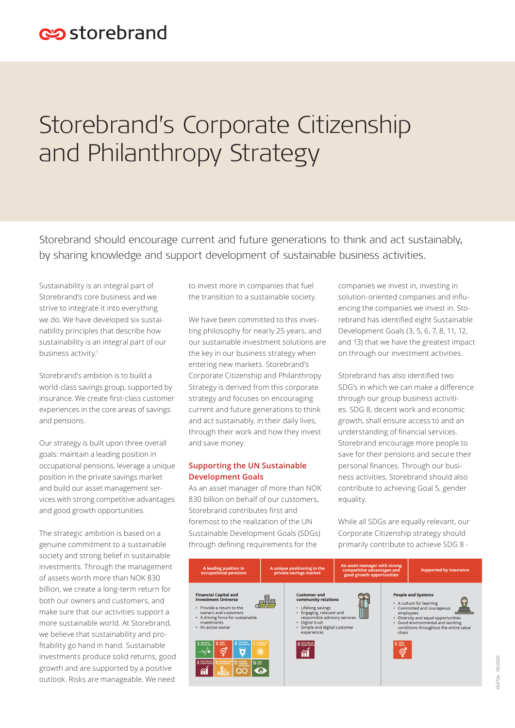# Storebrand's Corporate Citizenship and Philanthropy Strategy

Storebrand should encourage current and future generations to think and act sustainably, by sharing knowledge and support development of sustainable business activities.

Sustainability is an integral part of Storebrand's core business and we strive to integrate it into everything we do. We have developed six sustainability principles that describe how sustainability is an integral part of our business activity.<sup>1</sup>

Storebrand's ambition is to build a world-class savings group, supported by insurance. We create first-class customer experiences in the core areas of savings and pensions.

Our strategy is built upon three overall goals: maintain a leading position in occupational pensions, leverage a unique position in the private savings market and build our asset management services with strong competitive advantages and good growth opportunities.

The strategic ambition is based on a genuine commitment to a sustainable society and strong belief in sustainable investments. Through the management of assets worth more than NOK 830 billion, we create a long-term return for both our owners and customers, and make sure that our activities support a more sustainable world. At Storebrand, we believe that sustainability and profitability go hand in hand. Sustainable investments produce solid returns, good growth and are supported by a positive outlook. Risks are manageable. We need

to invest more in companies that fuel the transition to a sustainable society.

We have been committed to this investing philosophy for nearly 25 years, and our sustainable investment solutions are the key in our business strategy when entering new markets. Storebrand's Corporate Citizenship and Philanthropy Strategy is derived from this corporate strategy and focuses on encouraging current and future generations to think and act sustainably, in their daily lives, through their work and how they invest and save money.

## **Supporting the UN Sustainable Development Goals**

As an asset manager of more than NOK 830 billion on behalf of our customers, Storebrand contributes first and foremost to the realization of the UN Sustainable Development Goals (SDGs) through defining requirements for the

companies we invest in, investing in solution-oriented companies and influencing the companies we invest in. Storebrand has identified eight Sustainable Development Goals (3, 5, 6, 7, 8, 11, 12, and 13) that we have the greatest impact on through our investment activities.

Storebrand has also identified two SDG's in which we can make a difference through our group business activities. SDG 8, decent work and economic growth, shall ensure access to and an understanding of financial services. Storebrand encourage more people to save for their pensions and secure their personal finances. Through our business activities, Storebrand should also contribute to achieving Goal 5, gender equality.

While all SDGs are equally relevant, our Corporate Citizenship strategy should primarily contribute to achieve SDG 8 -

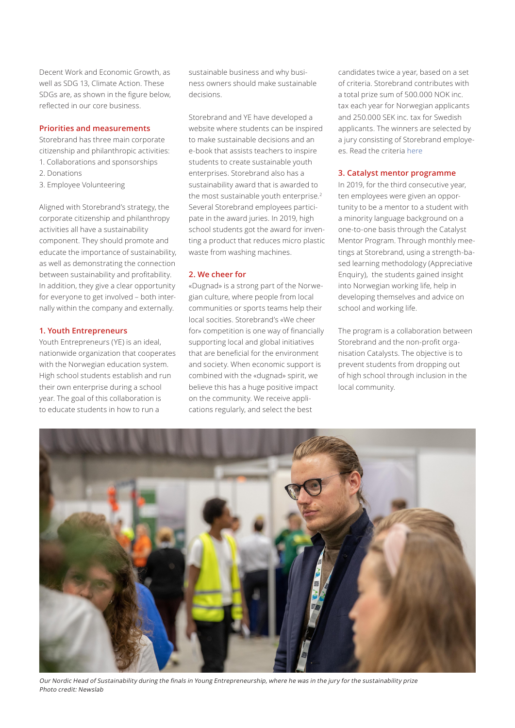Decent Work and Economic Growth, as well as SDG 13, Climate Action. These SDGs are, as shown in the figure below, reflected in our core business.

#### **Priorities and measurements**

Storebrand has three main corporate citizenship and philanthropic activities: 1. Collaborations and sponsorships

- 2. Donations
- 3. Employee Volunteering

Aligned with Storebrand's strategy, the corporate citizenship and philanthropy activities all have a sustainability component. They should promote and educate the importance of sustainability, as well as demonstrating the connection between sustainability and profitability. In addition, they give a clear opportunity for everyone to get involved – both internally within the company and externally.

### **1. Youth Entrepreneurs**

Youth Entrepreneurs (YE) is an ideal, nationwide organization that cooperates with the Norwegian education system. High school students establish and run their own enterprise during a school year. The goal of this collaboration is to educate students in how to run a

sustainable business and why business owners should make sustainable decisions.

Storebrand and YE have developed a website where students can be inspired to make sustainable decisions and an e-book that assists teachers to inspire students to create sustainable youth enterprises. Storebrand also has a sustainability award that is awarded to the most sustainable youth enterprise. $2$ Several Storebrand employees participate in the award juries. In 2019, high school students got the award for inventing a product that reduces micro plastic waste from washing machines.

#### **2. We cheer for**

«Dugnad» is a strong part of the Norwegian culture, where people from local communities or sports teams help their local socities. Storebrand's «We cheer for» competition is one way of financially supporting local and global initiatives that are beneficial for the environment and society. When economic support is combined with the «dugnad» spirit, we believe this has a huge positive impact on the community. We receive applications regularly, and select the best

candidates twice a year, based on a set of criteria. Storebrand contributes with a total prize sum of 500.000 NOK inc. tax each year for Norwegian applicants and 250.000 SEK inc. tax for Swedish applicants. The winners are selected by a jury consisting of Storebrand employees. Read the criteria here

#### **3. Catalyst mentor programme**

In 2019, for the third consecutive year, ten employees were given an opportunity to be a mentor to a student with a minority language background on a one-to-one basis through the Catalyst Mentor Program. Through monthly meetings at Storebrand, using a strength-based learning methodology (Appreciative Enquiry), the students gained insight into Norwegian working life, help in developing themselves and advice on school and working life.

The program is a collaboration between Storebrand and the non-profit organisation Catalysts. The objective is to prevent students from dropping out of high school through inclusion in the local community.



Our Nordic Head of Sustainability during the finals in Young Entrepreneurship, where he was in the jury for the sustainability prize Photo credit: Newslab